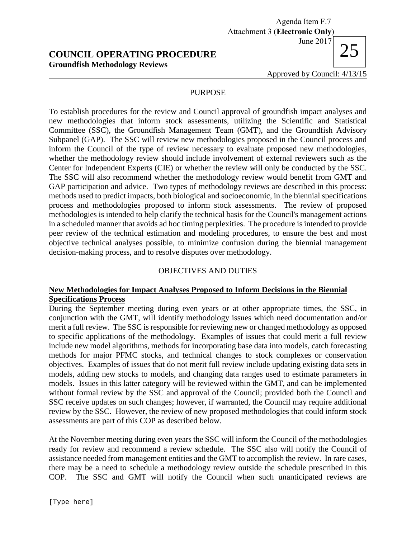# **COUNCIL OPERATING PROCEDURE Groundfish Methodology Reviews**

Agenda Item F.7 Attachment 3 (**Electronic Only**) June 2017

Approved by Council: 4/13/15

### PURPOSE

To establish procedures for the review and Council approval of groundfish impact analyses and new methodologies that inform stock assessments, utilizing the Scientific and Statistical Committee (SSC), the Groundfish Management Team (GMT), and the Groundfish Advisory Subpanel (GAP). The SSC will review new methodologies proposed in the Council process and inform the Council of the type of review necessary to evaluate proposed new methodologies, whether the methodology review should include involvement of external reviewers such as the Center for Independent Experts (CIE) or whether the review will only be conducted by the SSC. The SSC will also recommend whether the methodology review would benefit from GMT and GAP participation and advice. Two types of methodology reviews are described in this process: methods used to predict impacts, both biological and socioeconomic, in the biennial specifications process and methodologies proposed to inform stock assessments. The review of proposed methodologies is intended to help clarify the technical basis for the Council's management actions in a scheduled manner that avoids ad hoc timing perplexities. The procedure is intended to provide peer review of the technical estimation and modeling procedures, to ensure the best and most objective technical analyses possible, to minimize confusion during the biennial management decision-making process, and to resolve disputes over methodology.

### OBJECTIVES AND DUTIES

### **New Methodologies for Impact Analyses Proposed to Inform Decisions in the Biennial Specifications Process**

During the September meeting during even years or at other appropriate times, the SSC, in conjunction with the GMT, will identify methodology issues which need documentation and/or merit a full review. The SSC is responsible for reviewing new or changed methodology as opposed to specific applications of the methodology. Examples of issues that could merit a full review include new model algorithms, methods for incorporating base data into models, catch forecasting methods for major PFMC stocks, and technical changes to stock complexes or conservation objectives. Examples of issues that do not merit full review include updating existing data sets in models, adding new stocks to models, and changing data ranges used to estimate parameters in models. Issues in this latter category will be reviewed within the GMT, and can be implemented without formal review by the SSC and approval of the Council; provided both the Council and SSC receive updates on such changes; however, if warranted, the Council may require additional review by the SSC. However, the review of new proposed methodologies that could inform stock assessments are part of this COP as described below.

At the November meeting during even years the SSC will inform the Council of the methodologies ready for review and recommend a review schedule. The SSC also will notify the Council of assistance needed from management entities and the GMT to accomplish the review. In rare cases, there may be a need to schedule a methodology review outside the schedule prescribed in this COP. The SSC and GMT will notify the Council when such unanticipated reviews are